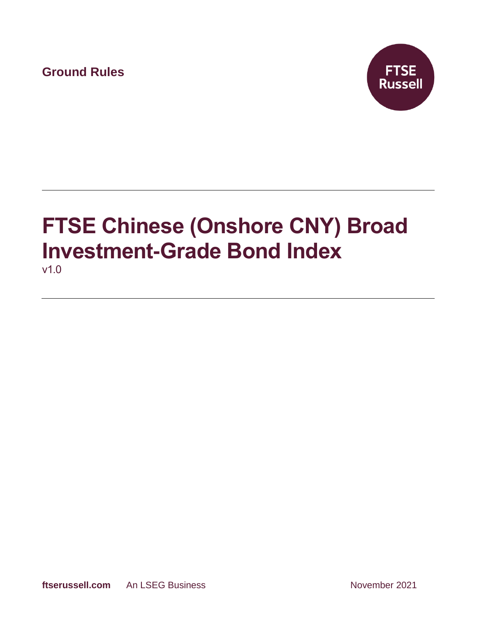**Ground Rules**



# **FTSE Chinese (Onshore CNY) Broad Investment-Grade Bond Index** v1.0

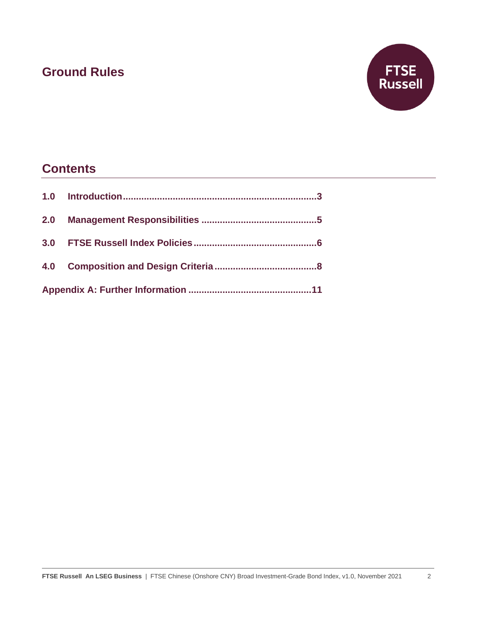## **Ground Rules**



### **Contents**

| 2.0 |  |  |
|-----|--|--|
|     |  |  |
|     |  |  |
|     |  |  |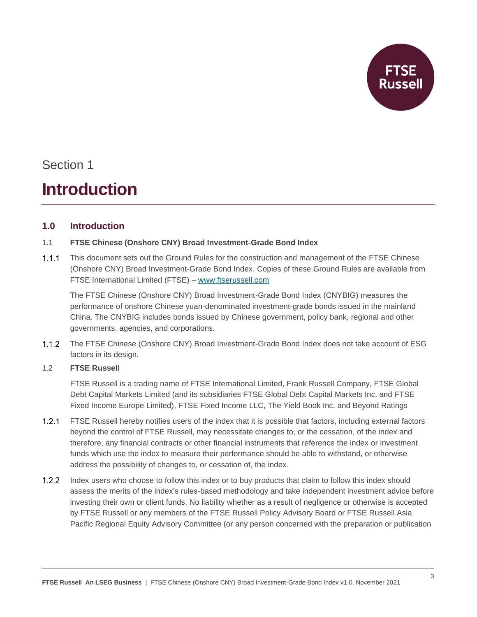

## Section 1

# **Introduction**

### **1.0 Introduction**

#### 1.1 **FTSE Chinese (Onshore CNY) Broad Investment-Grade Bond Index**

 $1.1.1$ This document sets out the Ground Rules for the construction and management of the FTSE Chinese (Onshore CNY) Broad Investment-Grade Bond Index. Copies of these Ground Rules are available from FTSE International Limited (FTSE) – [www.ftserussell.com](http://www.ftserussell.com/)

The FTSE Chinese (Onshore CNY) Broad Investment-Grade Bond Index (CNYBIG) measures the performance of onshore Chinese yuan-denominated investment-grade bonds issued in the mainland China. The CNYBIG includes bonds issued by Chinese government, policy bank, regional and other governments, agencies, and corporations.

 $1.1.2$ The FTSE Chinese (Onshore CNY) Broad Investment-Grade Bond Index does not take account of ESG factors in its design.

#### 1.2 **FTSE Russell**

FTSE Russell is a trading name of FTSE International Limited, Frank Russell Company, FTSE Global Debt Capital Markets Limited (and its subsidiaries FTSE Global Debt Capital Markets Inc. and FTSE Fixed Income Europe Limited), FTSE Fixed Income LLC, The Yield Book Inc. and Beyond Ratings

- $1.2.1$ FTSE Russell hereby notifies users of the index that it is possible that factors, including external factors beyond the control of FTSE Russell, may necessitate changes to, or the cessation, of the index and therefore, any financial contracts or other financial instruments that reference the index or investment funds which use the index to measure their performance should be able to withstand, or otherwise address the possibility of changes to, or cessation of, the index.
- 1.2.2 Index users who choose to follow this index or to buy products that claim to follow this index should assess the merits of the index's rules-based methodology and take independent investment advice before investing their own or client funds. No liability whether as a result of negligence or otherwise is accepted by FTSE Russell or any members of the FTSE Russell Policy Advisory Board or FTSE Russell Asia Pacific Regional Equity Advisory Committee (or any person concerned with the preparation or publication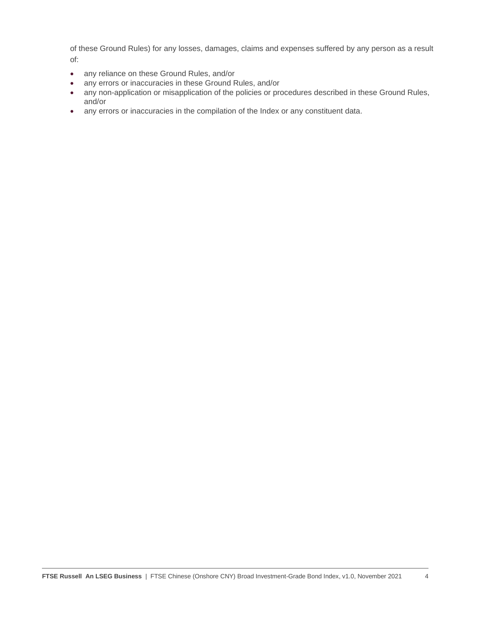of these Ground Rules) for any losses, damages, claims and expenses suffered by any person as a result of:

- any reliance on these Ground Rules, and/or
- any errors or inaccuracies in these Ground Rules, and/or
- any non-application or misapplication of the policies or procedures described in these Ground Rules, and/or
- any errors or inaccuracies in the compilation of the Index or any constituent data.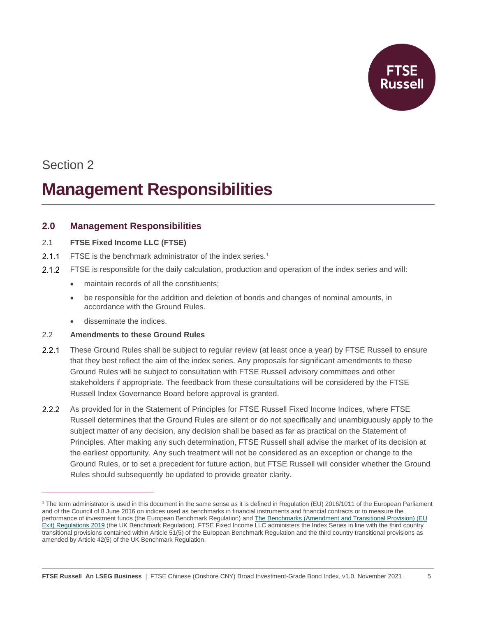

## Section 2

# **Management Responsibilities**

### **2.0 Management Responsibilities**

#### 2.1 **FTSE Fixed Income LLC (FTSE)**

- $2.1.1$ FTSE is the benchmark administrator of the index series.<sup>1</sup>
- FTSE is responsible for the daily calculation, production and operation of the index series and will:
	- maintain records of all the constituents;
	- be responsible for the addition and deletion of bonds and changes of nominal amounts, in accordance with the Ground Rules.
	- disseminate the indices.

#### 2.2 **Amendments to these Ground Rules**

- $2.2.1$ These Ground Rules shall be subject to regular review (at least once a year) by FTSE Russell to ensure that they best reflect the aim of the index series. Any proposals for significant amendments to these Ground Rules will be subject to consultation with FTSE Russell advisory committees and other stakeholders if appropriate. The feedback from these consultations will be considered by the FTSE Russell Index Governance Board before approval is granted.
- As provided for in the Statement of Principles for FTSE Russell Fixed Income Indices, where FTSE  $2.2.2$ Russell determines that the Ground Rules are silent or do not specifically and unambiguously apply to the subject matter of any decision, any decision shall be based as far as practical on the Statement of Principles. After making any such determination, FTSE Russell shall advise the market of its decision at the earliest opportunity. Any such treatment will not be considered as an exception or change to the Ground Rules, or to set a precedent for future action, but FTSE Russell will consider whether the Ground Rules should subsequently be updated to provide greater clarity.

<sup>&</sup>lt;sup>1</sup> The term administrator is used in this document in the same sense as it is defined in Regulation (EU) 2016/1011 of the European Parliament and of the Council of 8 June 2016 on indices used as benchmarks in financial instruments and financial contracts or to measure the performance of investment funds (the European Benchmark Regulation) and [The Benchmarks \(Amendment and Transitional Provision\) \(EU](https://www.legislation.gov.uk/uksi/2019/657/made)  [Exit\) Regulations 2019](https://www.legislation.gov.uk/uksi/2019/657/made) (the UK Benchmark Regulation). FTSE Fixed Income LLC administers the Index Series in line with the third country transitional provisions contained within Article 51(5) of the European Benchmark Regulation and the third country transitional provisions as amended by Article 42(5) of the UK Benchmark Regulation.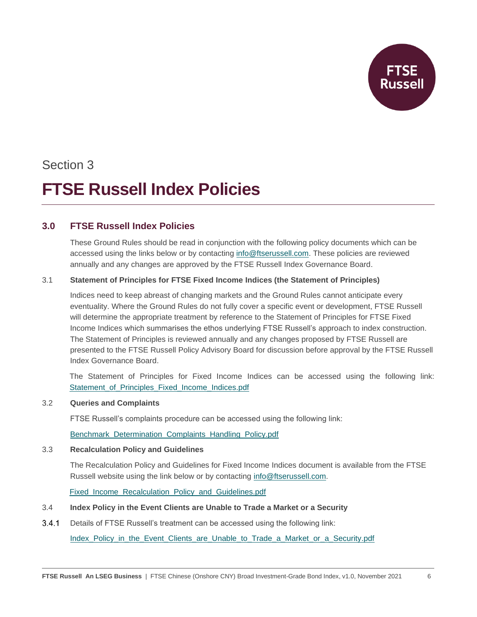

### Section 3

# **FTSE Russell Index Policies**

### **3.0 FTSE Russell Index Policies**

These Ground Rules should be read in conjunction with the following policy documents which can be accessed using the links below or by contacting [info@ftserussell.com.](mailto:info@ftserussell.com) These policies are reviewed annually and any changes are approved by the FTSE Russell Index Governance Board.

#### 3.1 **Statement of Principles for FTSE Fixed Income Indices (the Statement of Principles)**

Indices need to keep abreast of changing markets and the Ground Rules cannot anticipate every eventuality. Where the Ground Rules do not fully cover a specific event or development, FTSE Russell will determine the appropriate treatment by reference to the Statement of Principles for FTSE Fixed Income Indices which summarises the ethos underlying FTSE Russell's approach to index construction. The Statement of Principles is reviewed annually and any changes proposed by FTSE Russell are presented to the FTSE Russell Policy Advisory Board for discussion before approval by the FTSE Russell Index Governance Board.

The Statement of Principles for Fixed Income Indices can be accessed using the following link: Statement of Principles Fixed Income Indices.pdf

#### 3.2 **Queries and Complaints**

FTSE Russell's complaints procedure can be accessed using the following link:

[Benchmark\\_Determination\\_Complaints\\_Handling\\_Policy.pdf](https://research.ftserussell.com/products/downloads/FTSE_Russell_Benchmark_Determination_Complaints-Handling_Policy.pdf?_ga=2.120744587.2089437025.1593423837-184674261.1591013590)

#### 3.3 **Recalculation Policy and Guidelines**

The Recalculation Policy and Guidelines for Fixed Income Indices document is available from the FTSE Russell website using the link below or by contacting [info@ftserussell.com.](mailto:info@ftserussell.com)

Fixed Income Recalculation Policy and Guidelines.pdf

#### 3.4 **Index Policy in the Event Clients are Unable to Trade a Market or a Security**

 $3.4.1$ Details of FTSE Russell's treatment can be accessed using the following link:

[Index\\_Policy\\_in\\_the\\_Event\\_Clients\\_are\\_Unable\\_to\\_Trade\\_a\\_Market\\_or\\_a\\_Security.pdf](https://research.ftserussell.com/products/downloads/FTSE_Russell_Index_Policy_in_the_Event_Clients_are_Unable_to_Trade_a_Market_or_a_Security.pdf)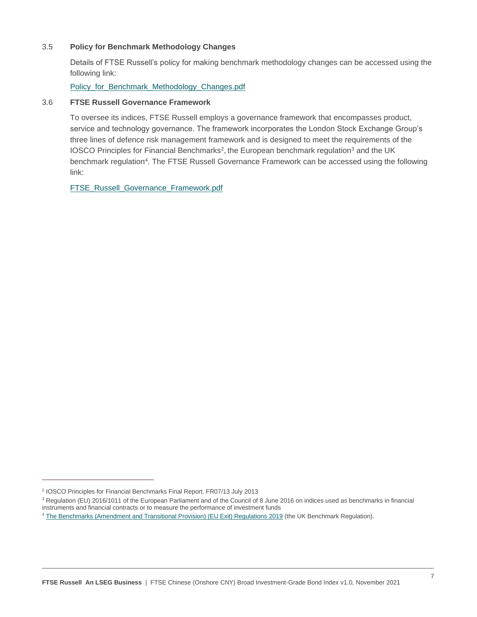#### 3.5 **Policy for Benchmark Methodology Changes**

Details of FTSE Russell's policy for making benchmark methodology changes can be accessed using the following link:

Policy for Benchmark Methodology Changes.pdf

#### 3.6 **FTSE Russell Governance Framework**

To oversee its indices, FTSE Russell employs a governance framework that encompasses product, service and technology governance. The framework incorporates the London Stock Exchange Group's three lines of defence risk management framework and is designed to meet the requirements of the IOSCO Principles for Financial Benchmarks<sup>2</sup>, the European benchmark regulation<sup>3</sup> and the UK benchmark regulation<sup>4</sup>. The FTSE Russell Governance Framework can be accessed using the following link:

[FTSE\\_Russell\\_Governance\\_Framework.pdf](https://research.ftserussell.com/products/downloads/FTSE_Russell_Governance_Framework.pdf)

<sup>2</sup> IOSCO Principles for Financial Benchmarks Final Report, FR07/13 July 2013

<sup>&</sup>lt;sup>3</sup> Regulation (EU) 2016/1011 of the European Parliament and of the Council of 8 June 2016 on indices used as benchmarks in financial instruments and financial contracts or to measure the performance of investment funds

<sup>4</sup> The Benchmarks [\(Amendment and Transitional Provision\) \(EU Exit\) Regulations 2019](https://www.legislation.gov.uk/uksi/2019/657/made) (the UK Benchmark Regulation).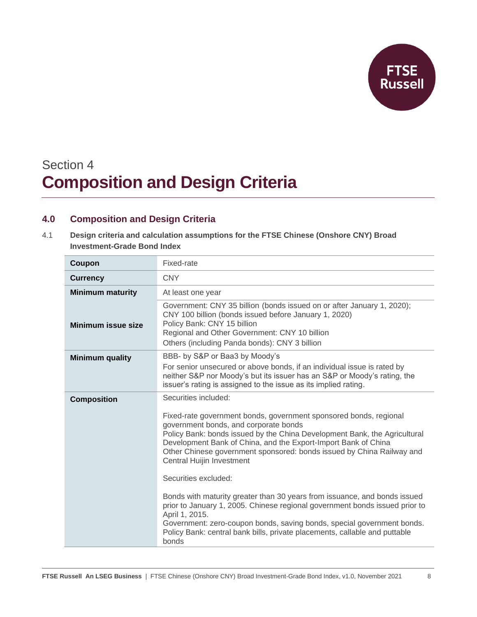

## Section 4 **Composition and Design Criteria**

### **4.0 Composition and Design Criteria**

4.1 **Design criteria and calculation assumptions for the FTSE Chinese (Onshore CNY) Broad Investment-Grade Bond Index**

| Coupon                    | Fixed-rate                                                                                                                                                                                                                                                                                                                                                                                                                                                                                                                                                                                                                                                                                                                                                            |
|---------------------------|-----------------------------------------------------------------------------------------------------------------------------------------------------------------------------------------------------------------------------------------------------------------------------------------------------------------------------------------------------------------------------------------------------------------------------------------------------------------------------------------------------------------------------------------------------------------------------------------------------------------------------------------------------------------------------------------------------------------------------------------------------------------------|
| <b>Currency</b>           | <b>CNY</b>                                                                                                                                                                                                                                                                                                                                                                                                                                                                                                                                                                                                                                                                                                                                                            |
| <b>Minimum maturity</b>   | At least one year                                                                                                                                                                                                                                                                                                                                                                                                                                                                                                                                                                                                                                                                                                                                                     |
| <b>Minimum issue size</b> | Government: CNY 35 billion (bonds issued on or after January 1, 2020);<br>CNY 100 billion (bonds issued before January 1, 2020)<br>Policy Bank: CNY 15 billion<br>Regional and Other Government: CNY 10 billion<br>Others (including Panda bonds): CNY 3 billion                                                                                                                                                                                                                                                                                                                                                                                                                                                                                                      |
| <b>Minimum quality</b>    | BBB- by S&P or Baa3 by Moody's<br>For senior unsecured or above bonds, if an individual issue is rated by<br>neither S&P nor Moody's but its issuer has an S&P or Moody's rating, the<br>issuer's rating is assigned to the issue as its implied rating.                                                                                                                                                                                                                                                                                                                                                                                                                                                                                                              |
| <b>Composition</b>        | Securities included:<br>Fixed-rate government bonds, government sponsored bonds, regional<br>government bonds, and corporate bonds<br>Policy Bank: bonds issued by the China Development Bank, the Agricultural<br>Development Bank of China, and the Export-Import Bank of China<br>Other Chinese government sponsored: bonds issued by China Railway and<br><b>Central Huijin Investment</b><br>Securities excluded:<br>Bonds with maturity greater than 30 years from issuance, and bonds issued<br>prior to January 1, 2005. Chinese regional government bonds issued prior to<br>April 1, 2015.<br>Government: zero-coupon bonds, saving bonds, special government bonds.<br>Policy Bank: central bank bills, private placements, callable and puttable<br>bonds |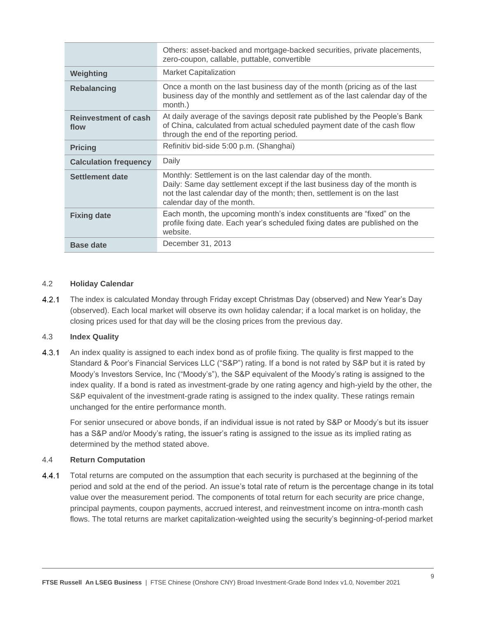|                                     | Others: asset-backed and mortgage-backed securities, private placements,<br>zero-coupon, callable, puttable, convertible                                                                                                                             |
|-------------------------------------|------------------------------------------------------------------------------------------------------------------------------------------------------------------------------------------------------------------------------------------------------|
| Weighting                           | <b>Market Capitalization</b>                                                                                                                                                                                                                         |
| <b>Rebalancing</b>                  | Once a month on the last business day of the month (pricing as of the last<br>business day of the monthly and settlement as of the last calendar day of the<br>month.)                                                                               |
| <b>Reinvestment of cash</b><br>flow | At daily average of the savings deposit rate published by the People's Bank<br>of China, calculated from actual scheduled payment date of the cash flow<br>through the end of the reporting period.                                                  |
| <b>Pricing</b>                      | Refinitiv bid-side 5:00 p.m. (Shanghai)                                                                                                                                                                                                              |
| <b>Calculation frequency</b>        | Daily                                                                                                                                                                                                                                                |
| Settlement date                     | Monthly: Settlement is on the last calendar day of the month.<br>Daily: Same day settlement except if the last business day of the month is<br>not the last calendar day of the month; then, settlement is on the last<br>calendar day of the month. |
| <b>Fixing date</b>                  | Each month, the upcoming month's index constituents are "fixed" on the<br>profile fixing date. Each year's scheduled fixing dates are published on the<br>website.                                                                                   |
| <b>Base date</b>                    | December 31, 2013                                                                                                                                                                                                                                    |

#### 4.2 **Holiday Calendar**

 $4.2.1$ The index is calculated Monday through Friday except Christmas Day (observed) and New Year's Day (observed). Each local market will observe its own holiday calendar; if a local market is on holiday, the closing prices used for that day will be the closing prices from the previous day.

#### 4.3 **Index Quality**

 $4.3.1$ An index quality is assigned to each index bond as of profile fixing. The quality is first mapped to the Standard & Poor's Financial Services LLC ("S&P") rating. If a bond is not rated by S&P but it is rated by Moody's Investors Service, Inc ("Moody's"), the S&P equivalent of the Moody's rating is assigned to the index quality. If a bond is rated as investment-grade by one rating agency and high-yield by the other, the S&P equivalent of the investment-grade rating is assigned to the index quality. These ratings remain unchanged for the entire performance month.

For senior unsecured or above bonds, if an individual issue is not rated by S&P or Moody's but its issuer has a S&P and/or Moody's rating, the issuer's rating is assigned to the issue as its implied rating as determined by the method stated above.

#### 4.4 **Return Computation**

 $4.4.1$ Total returns are computed on the assumption that each security is purchased at the beginning of the period and sold at the end of the period. An issue's total rate of return is the percentage change in its total value over the measurement period. The components of total return for each security are price change, principal payments, coupon payments, accrued interest, and reinvestment income on intra-month cash flows. The total returns are market capitalization-weighted using the security's beginning-of-period market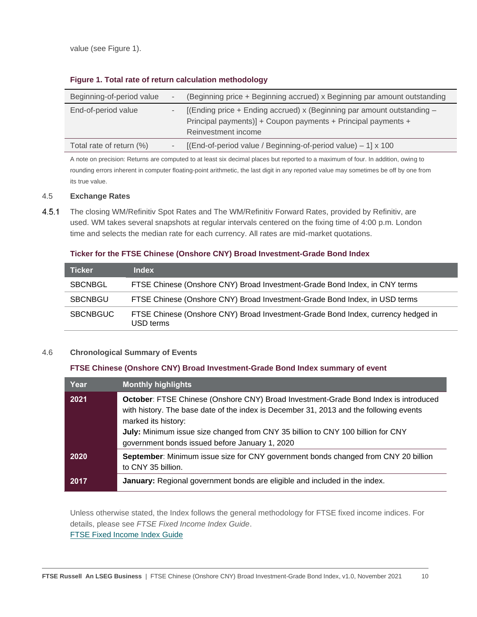value (see Figure 1).

| Beginning-of-period value | (Beginning price + Beginning accrued) x Beginning par amount outstanding                                                                                           |
|---------------------------|--------------------------------------------------------------------------------------------------------------------------------------------------------------------|
| End-of-period value       | [(Ending price $+$ Ending accrued) x (Beginning par amount outstanding $-$<br>Principal payments)] + Coupon payments + Principal payments +<br>Reinvestment income |
| Total rate of return (%)  | [(End-of-period value / Beginning-of-period value) - 1] x 100                                                                                                      |

#### **Figure 1. Total rate of return calculation methodology**

A note on precision: Returns are computed to at least six decimal places but reported to a maximum of four. In addition, owing to rounding errors inherent in computer floating-point arithmetic, the last digit in any reported value may sometimes be off by one from its true value.

#### 4.5 **Exchange Rates**

 $4.5.1$ The closing WM/Refinitiv Spot Rates and The WM/Refinitiv Forward Rates, provided by Refinitiv, are used. WM takes several snapshots at regular intervals centered on the fixing time of 4:00 p.m. London time and selects the median rate for each currency. All rates are mid-market quotations.

#### **Ticker for the FTSE Chinese (Onshore CNY) Broad Investment-Grade Bond Index**

| <b>Ticker</b>   | <b>Index</b>                                                                                  |
|-----------------|-----------------------------------------------------------------------------------------------|
| <b>SBCNBGL</b>  | FTSE Chinese (Onshore CNY) Broad Investment-Grade Bond Index, in CNY terms                    |
| SBCNBGU         | FTSE Chinese (Onshore CNY) Broad Investment-Grade Bond Index, in USD terms                    |
| <b>SBCNBGUC</b> | FTSE Chinese (Onshore CNY) Broad Investment-Grade Bond Index, currency hedged in<br>USD terms |

#### 4.6 **Chronological Summary of Events**

#### **FTSE Chinese (Onshore CNY) Broad Investment-Grade Bond Index summary of event**

| Year | <b>Monthly highlights</b>                                                                                                                                                                                                                                                                                                                 |
|------|-------------------------------------------------------------------------------------------------------------------------------------------------------------------------------------------------------------------------------------------------------------------------------------------------------------------------------------------|
| 2021 | October: FTSE Chinese (Onshore CNY) Broad Investment-Grade Bond Index is introduced<br>with history. The base date of the index is December 31, 2013 and the following events<br>marked its history:<br>July: Minimum issue size changed from CNY 35 billion to CNY 100 billion for CNY<br>government bonds issued before January 1, 2020 |
| 2020 | September: Minimum issue size for CNY government bonds changed from CNY 20 billion<br>to CNY 35 billion.                                                                                                                                                                                                                                  |
| 2017 | January: Regional government bonds are eligible and included in the index.                                                                                                                                                                                                                                                                |

Unless otherwise stated, the Index follows the general methodology for FTSE fixed income indices. For details, please see *FTSE Fixed Income Index Guide*. [FTSE Fixed Income Index Guide](https://research.ftserussell.com/products/downloads/FTSE-Fixed-Income-Indexes-Guide.pdf?_ga=2.150867318.1386179752.1603294353-1979549311.1593679434)